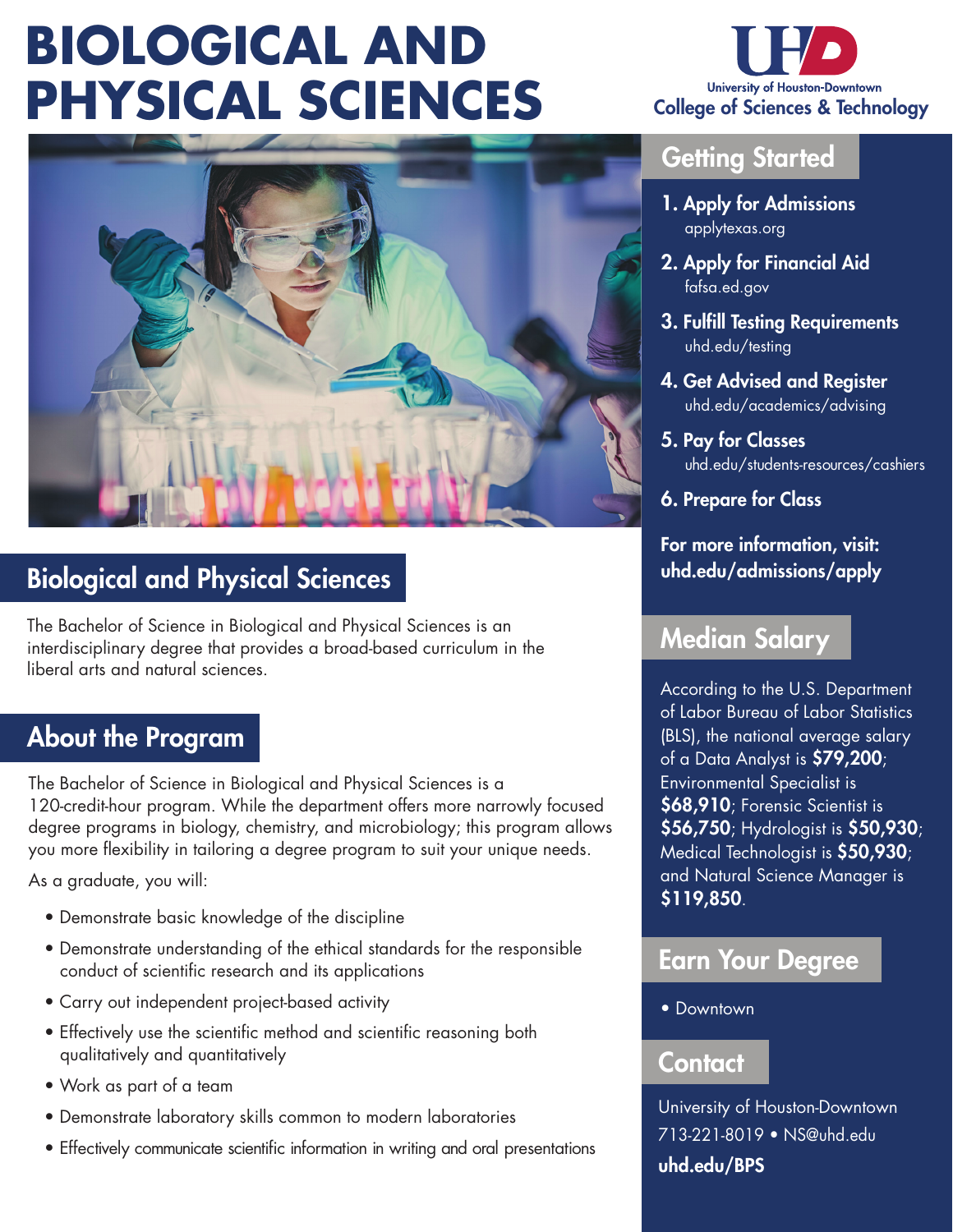# **BIOLOGICAL AND PHYSICAL SCIENCES**





# Biological and Physical Sciences

The Bachelor of Science in Biological and Physical Sciences is an interdisciplinary degree that provides a broad-based curriculum in the liberal arts and natural sciences.

## About the Program

The Bachelor of Science in Biological and Physical Sciences is a 120-credit-hour program. While the department offers more narrowly focused degree programs in biology, chemistry, and microbiology; this program allows you more flexibility in tailoring a degree program to suit your unique needs.

As a graduate, you will:

- Demonstrate basic knowledge of the discipline
- Demonstrate understanding of the ethical standards for the responsible conduct of scientific research and its applications
- Carry out independent project-based activity
- Effectively use the scientific method and scientific reasoning both qualitatively and quantitatively
- Work as part of a team
- Demonstrate laboratory skills common to modern laboratories
- Effectively communicate scientific information in writing and oral presentations

### **Getting Started**

- 1. Apply for Admissions applytexas.org
- 2. Apply for Financial Aid fafsa.ed.gov
- 3. Fulfill Testing Requirements uhd.edu/testing
- 4. Get Advised and Register uhd.edu/academics/advising
- 5. Pay for Classes uhd.edu/students-resources/cashiers
- 6. Prepare for Class

For more information, visit: uhd.edu/admissions/apply

## Median Salary

According to the U.S. Department of Labor Bureau of Labor Statistics (BLS), the national average salary of a Data Analyst is \$79,200; Environmental Specialist is \$68,910; Forensic Scientist is \$56,750; Hydrologist is \$50,930; Medical Technologist is \$50,930; and Natural Science Manager is \$119,850.

### Earn Your Degree

• Downtown

#### Contact

University of Houston-Downtown 713-221-8019 • NS@uhd.edu uhd.edu/BPS